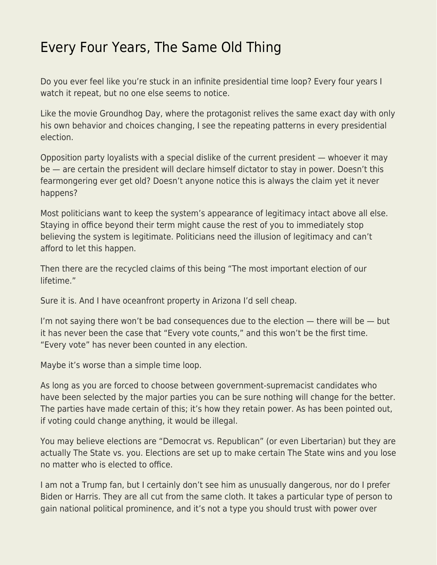## [Every Four Years, The Same Old Thing](https://everything-voluntary.com/every-four-years-the-same-old-thing)

Do you ever feel like you're stuck in an infinite presidential time loop? Every four years I watch it repeat, but no one else seems to notice.

Like the movie Groundhog Day, where the protagonist relives the same exact day with only his own behavior and choices changing, I see the repeating patterns in every presidential election.

Opposition party loyalists with a special dislike of the current president — whoever it may be — are certain the president will declare himself dictator to stay in power. Doesn't this fearmongering ever get old? Doesn't anyone notice this is always the claim yet it never happens?

Most politicians want to keep the system's appearance of legitimacy intact above all else. Staying in office beyond their term might cause the rest of you to immediately stop believing the system is legitimate. Politicians need the illusion of legitimacy and can't afford to let this happen.

Then there are the recycled claims of this being "The most important election of our lifetime."

Sure it is. And I have oceanfront property in Arizona I'd sell cheap.

I'm not saying there won't be bad consequences due to the election  $-$  there will be  $-$  but it has never been the case that "Every vote counts," and this won't be the first time. "Every vote" has never been counted in any election.

Maybe it's worse than a simple time loop.

As long as you are forced to choose between government-supremacist candidates who have been selected by the major parties you can be sure nothing will change for the better. The parties have made certain of this; it's how they retain power. As has been pointed out, if voting could change anything, it would be illegal.

You may believe elections are "Democrat vs. Republican" (or even Libertarian) but they are actually The State vs. you. Elections are set up to make certain The State wins and you lose no matter who is elected to office.

I am not a Trump fan, but I certainly don't see him as unusually dangerous, nor do I prefer Biden or Harris. They are all cut from the same cloth. It takes a particular type of person to gain national political prominence, and it's not a type you should trust with power over